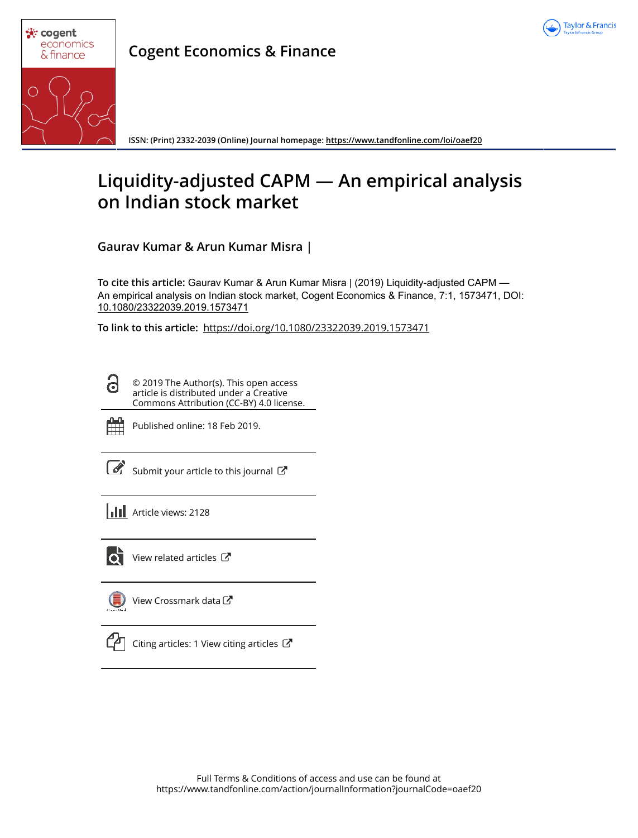



**Cogent Economics & Finance**

**ISSN: (Print) 2332-2039 (Online) Journal homepage: https://www.tandfonline.com/loi/oaef20**

# **Liquidity-adjusted CAPM — An empirical analysis on Indian stock market**

**Gaurav Kumar & Arun Kumar Misra |**

**To cite this article:** Gaurav Kumar & Arun Kumar Misra | (2019) Liquidity-adjusted CAPM — An empirical analysis on Indian stock market, Cogent Economics & Finance, 7:1, 1573471, DOI: 10.1080/23322039.2019.1573471

**To link to this article:** https://doi.org/10.1080/23322039.2019.1573471

© 2019 The Author(s). This open access article is distributed under a Creative Commons Attribution (CC-BY) 4.0 license.



G

Published online: 18 Feb 2019.

Submit your article to this journal  $\mathbb{Z}$ 

**Article views: 2128** 



 $\overrightarrow{Q}$  View related articles  $\overrightarrow{C}$ 

View Crossmark data C



 $\mathbb{C}$  Citing articles: 1 View citing articles  $\mathbb{C}$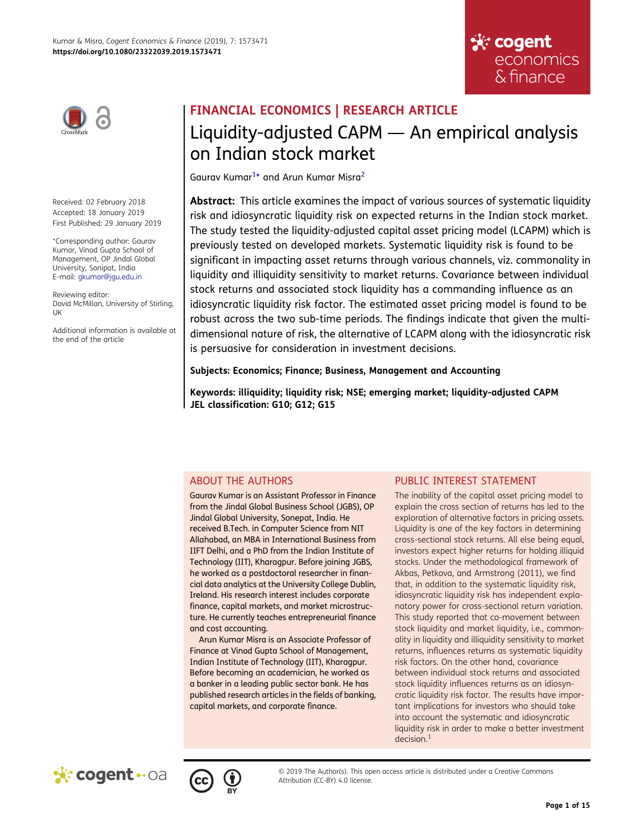



Received: 02 February 2018 Accepted: 18 January 2019 First Published: 29 January 2019

\*Corresponding author: Gaurav Kumar, Vinod Gupta School of Management, OP Jindal Global University, Sonipat, India E-mail: gkumar@jgu.edu.in

Reviewing editor: David McMillan, University of Stirling, UK

Additional information is available at the end of the article

# FINANCIAL ECONOMICS | RESEARCH ARTICLE Liquidity-adjusted CAPM — An empirical analysis on Indian stock market

Gaurav Kumar<sup>1</sup>\* and Arun Kumar Misra<sup>2</sup>

Abstract: This article examines the impact of various sources of systematic liquidity risk and idiosyncratic liquidity risk on expected returns in the Indian stock market. The study tested the liquidity-adjusted capital asset pricing model (LCAPM) which is previously tested on developed markets. Systematic liquidity risk is found to be significant in impacting asset returns through various channels, viz. commonality in liquidity and illiquidity sensitivity to market returns. Covariance between individual stock returns and associated stock liquidity has a commanding influence as an idiosyncratic liquidity risk factor. The estimated asset pricing model is found to be robust across the two sub-time periods. The findings indicate that given the multidimensional nature of risk, the alternative of LCAPM along with the idiosyncratic risk is persuasive for consideration in investment decisions.

## Subjects: Economics; Finance; Business, Management and Accounting

Keywords: illiquidity; liquidity risk; NSE; emerging market; liquidity-adjusted CAPM JEL classification: G10; G12; G15

# ABOUT THE AUTHORS

Gaurav Kumar is an Assistant Professor in Finance from the Jindal Global Business School (JGBS), OP Jindal Global University, Sonepat, India. He received B.Tech. in Computer Science from NIT Allahabad, an MBA in International Business from IIFT Delhi, and a PhD from the Indian Institute of Technology (IIT), Kharagpur. Before joining JGBS, he worked as a postdoctoral researcher in financial data analytics at the University College Dublin, Ireland. His research interest includes corporate finance, capital markets, and market microstructure. He currently teaches entrepreneurial finance and cost accounting.

Arun Kumar Misra is an Associate Professor of Finance at Vinod Gupta School of Management, Indian Institute of Technology (IIT), Kharagpur. Before becoming an academician, he worked as a banker in a leading public sector bank. He has published research articles in the fields of banking, capital markets, and corporate finance.

# PUBLIC INTEREST STATEMENT

The inability of the capital asset pricing model to explain the cross section of returns has led to the exploration of alternative factors in pricing assets. Liquidity is one of the key factors in determining cross-sectional stock returns. All else being equal, investors expect higher returns for holding illiquid stocks. Under the methodological framework of Akbas, Petkova, and Armstrong (2011), we find that, in addition to the systematic liquidity risk, idiosyncratic liquidity risk has independent explanatory power for cross-sectional return variation. This study reported that co-movement between stock liquidity and market liquidity, i.e., commonality in liquidity and illiquidity sensitivity to market returns, influences returns as systematic liquidity risk factors. On the other hand, covariance between individual stock returns and associated stock liquidity influences returns as an idiosyncratic liquidity risk factor. The results have important implications for investors who should take into account the systematic and idiosyncratic liquidity risk in order to make a better investment  $decision.<sup>1</sup>$ 





© 2019 The Author(s). This open access article is distributed under a Creative Commons Attribution (CC-BY) 4.0 license.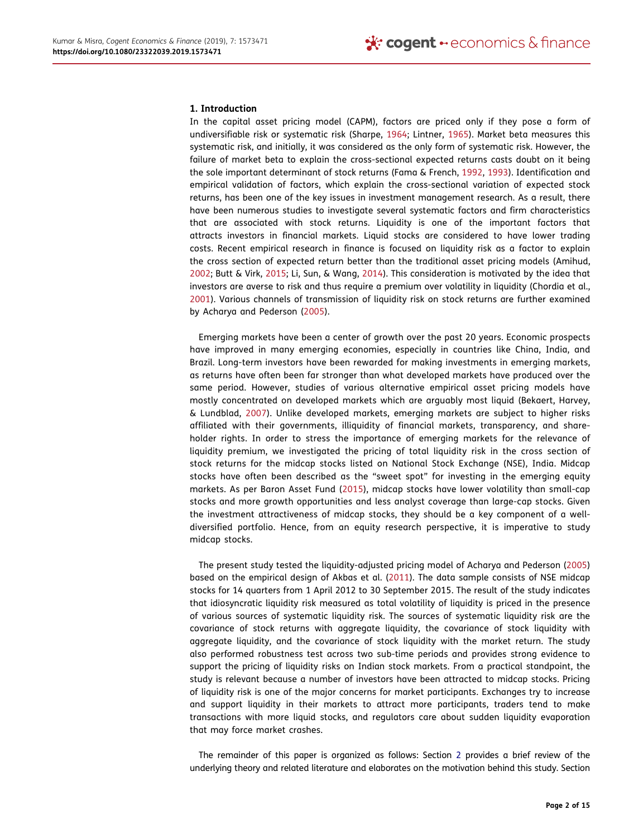#### 1. Introduction

In the capital asset pricing model (CAPM), factors are priced only if they pose a form of undiversifiable risk or systematic risk (Sharpe, 1964; Lintner, 1965). Market beta measures this systematic risk, and initially, it was considered as the only form of systematic risk. However, the failure of market beta to explain the cross-sectional expected returns casts doubt on it being the sole important determinant of stock returns (Fama & French, 1992, 1993). Identification and empirical validation of factors, which explain the cross-sectional variation of expected stock returns, has been one of the key issues in investment management research. As a result, there have been numerous studies to investigate several systematic factors and firm characteristics that are associated with stock returns. Liquidity is one of the important factors that attracts investors in financial markets. Liquid stocks are considered to have lower trading costs. Recent empirical research in finance is focused on liquidity risk as a factor to explain the cross section of expected return better than the traditional asset pricing models (Amihud, 2002; Butt & Virk, 2015; Li, Sun, & Wang, 2014). This consideration is motivated by the idea that investors are averse to risk and thus require a premium over volatility in liquidity (Chordia et al., 2001). Various channels of transmission of liquidity risk on stock returns are further examined by Acharya and Pederson (2005).

Emerging markets have been a center of growth over the past 20 years. Economic prospects have improved in many emerging economies, especially in countries like China, India, and Brazil. Long-term investors have been rewarded for making investments in emerging markets, as returns have often been far stronger than what developed markets have produced over the same period. However, studies of various alternative empirical asset pricing models have mostly concentrated on developed markets which are arguably most liquid (Bekaert, Harvey, & Lundblad, 2007). Unlike developed markets, emerging markets are subject to higher risks affiliated with their governments, illiquidity of financial markets, transparency, and shareholder rights. In order to stress the importance of emerging markets for the relevance of liquidity premium, we investigated the pricing of total liquidity risk in the cross section of stock returns for the midcap stocks listed on National Stock Exchange (NSE), India. Midcap stocks have often been described as the "sweet spot" for investing in the emerging equity markets. As per Baron Asset Fund (2015), midcap stocks have lower volatility than small-cap stocks and more growth opportunities and less analyst coverage than large-cap stocks. Given the investment attractiveness of midcap stocks, they should be a key component of a welldiversified portfolio. Hence, from an equity research perspective, it is imperative to study midcap stocks.

The present study tested the liquidity-adjusted pricing model of Acharya and Pederson (2005) based on the empirical design of Akbas et al. (2011). The data sample consists of NSE midcap stocks for 14 quarters from 1 April 2012 to 30 September 2015. The result of the study indicates that idiosyncratic liquidity risk measured as total volatility of liquidity is priced in the presence of various sources of systematic liquidity risk. The sources of systematic liquidity risk are the covariance of stock returns with aggregate liquidity, the covariance of stock liquidity with aggregate liquidity, and the covariance of stock liquidity with the market return. The study also performed robustness test across two sub-time periods and provides strong evidence to support the pricing of liquidity risks on Indian stock markets. From a practical standpoint, the study is relevant because a number of investors have been attracted to midcap stocks. Pricing of liquidity risk is one of the major concerns for market participants. Exchanges try to increase and support liquidity in their markets to attract more participants, traders tend to make transactions with more liquid stocks, and regulators care about sudden liquidity evaporation that may force market crashes.

The remainder of this paper is organized as follows: Section 2 provides a brief review of the underlying theory and related literature and elaborates on the motivation behind this study. Section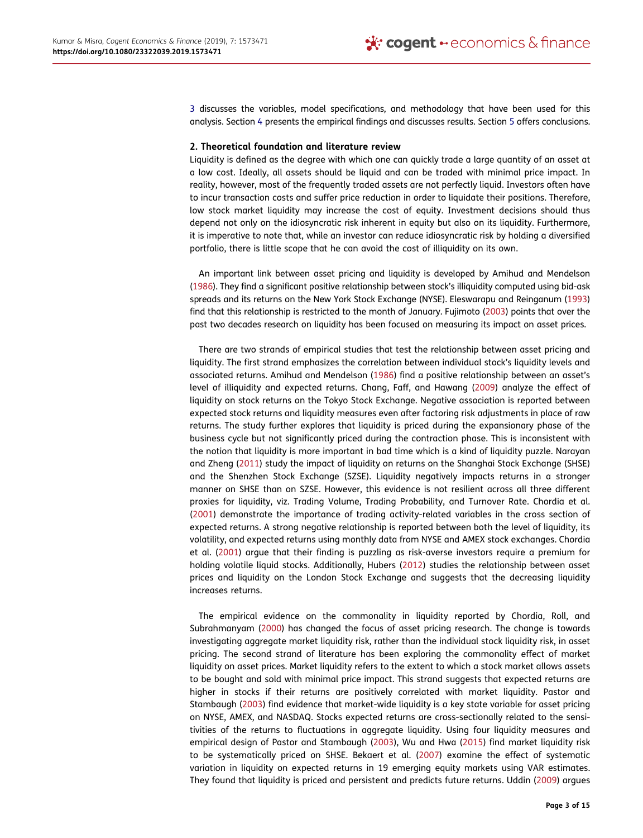3 discusses the variables, model specifications, and methodology that have been used for this analysis. Section 4 presents the empirical findings and discusses results. Section 5 offers conclusions.

#### 2. Theoretical foundation and literature review

Liquidity is defined as the degree with which one can quickly trade a large quantity of an asset at a low cost. Ideally, all assets should be liquid and can be traded with minimal price impact. In reality, however, most of the frequently traded assets are not perfectly liquid. Investors often have to incur transaction costs and suffer price reduction in order to liquidate their positions. Therefore, low stock market liquidity may increase the cost of equity. Investment decisions should thus depend not only on the idiosyncratic risk inherent in equity but also on its liquidity. Furthermore, it is imperative to note that, while an investor can reduce idiosyncratic risk by holding a diversified portfolio, there is little scope that he can avoid the cost of illiquidity on its own.

An important link between asset pricing and liquidity is developed by Amihud and Mendelson (1986). They find a significant positive relationship between stock's illiquidity computed using bid-ask spreads and its returns on the New York Stock Exchange (NYSE). Eleswarapu and Reinganum (1993) find that this relationship is restricted to the month of January. Fujimoto (2003) points that over the past two decades research on liquidity has been focused on measuring its impact on asset prices.

There are two strands of empirical studies that test the relationship between asset pricing and liquidity. The first strand emphasizes the correlation between individual stock's liquidity levels and associated returns. Amihud and Mendelson (1986) find a positive relationship between an asset's level of illiquidity and expected returns. Chang, Faff, and Hawang (2009) analyze the effect of liquidity on stock returns on the Tokyo Stock Exchange. Negative association is reported between expected stock returns and liquidity measures even after factoring risk adjustments in place of raw returns. The study further explores that liquidity is priced during the expansionary phase of the business cycle but not significantly priced during the contraction phase. This is inconsistent with the notion that liquidity is more important in bad time which is a kind of liquidity puzzle. Narayan and Zheng (2011) study the impact of liquidity on returns on the Shanghai Stock Exchange (SHSE) and the Shenzhen Stock Exchange (SZSE). Liquidity negatively impacts returns in a stronger manner on SHSE than on SZSE. However, this evidence is not resilient across all three different proxies for liquidity, viz. Trading Volume, Trading Probability, and Turnover Rate. Chordia et al. (2001) demonstrate the importance of trading activity-related variables in the cross section of expected returns. A strong negative relationship is reported between both the level of liquidity, its volatility, and expected returns using monthly data from NYSE and AMEX stock exchanges. Chordia et al. (2001) argue that their finding is puzzling as risk-averse investors require a premium for holding volatile liquid stocks. Additionally, Hubers (2012) studies the relationship between asset prices and liquidity on the London Stock Exchange and suggests that the decreasing liquidity increases returns.

The empirical evidence on the commonality in liquidity reported by Chordia, Roll, and Subrahmanyam (2000) has changed the focus of asset pricing research. The change is towards investigating aggregate market liquidity risk, rather than the individual stock liquidity risk, in asset pricing. The second strand of literature has been exploring the commonality effect of market liquidity on asset prices. Market liquidity refers to the extent to which a stock market allows assets to be bought and sold with minimal price impact. This strand suggests that expected returns are higher in stocks if their returns are positively correlated with market liquidity. Pastor and Stambaugh (2003) find evidence that market-wide liquidity is a key state variable for asset pricing on NYSE, AMEX, and NASDAQ. Stocks expected returns are cross-sectionally related to the sensitivities of the returns to fluctuations in aggregate liquidity. Using four liquidity measures and empirical design of Pastor and Stambaugh (2003), Wu and Hwa (2015) find market liquidity risk to be systematically priced on SHSE. Bekaert et al. (2007) examine the effect of systematic variation in liquidity on expected returns in 19 emerging equity markets using VAR estimates. They found that liquidity is priced and persistent and predicts future returns. Uddin (2009) argues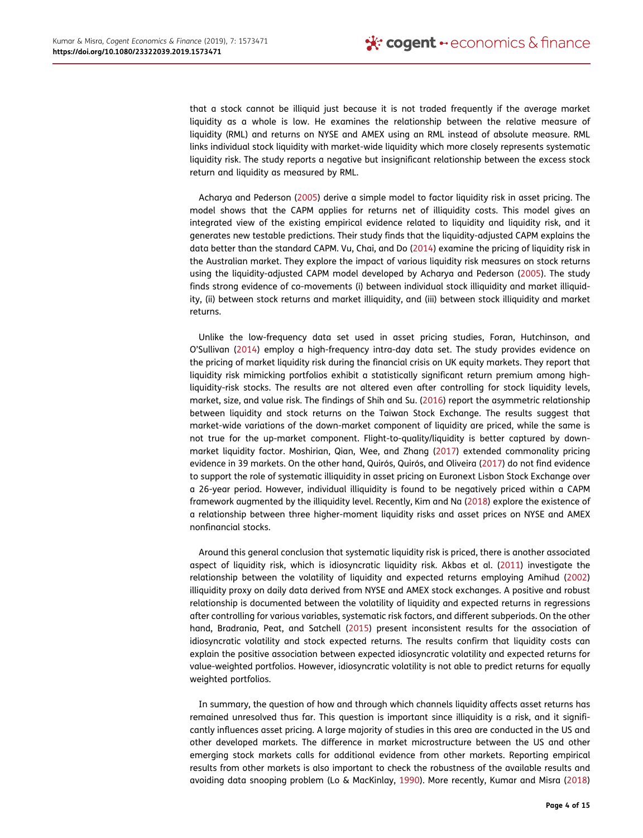that a stock cannot be illiquid just because it is not traded frequently if the average market liquidity as a whole is low. He examines the relationship between the relative measure of liquidity (RML) and returns on NYSE and AMEX using an RML instead of absolute measure. RML links individual stock liquidity with market-wide liquidity which more closely represents systematic liquidity risk. The study reports a negative but insignificant relationship between the excess stock return and liquidity as measured by RML.

Acharya and Pederson (2005) derive a simple model to factor liquidity risk in asset pricing. The model shows that the CAPM applies for returns net of illiquidity costs. This model gives an integrated view of the existing empirical evidence related to liquidity and liquidity risk, and it generates new testable predictions. Their study finds that the liquidity-adjusted CAPM explains the data better than the standard CAPM. Vu, Chai, and Do (2014) examine the pricing of liquidity risk in the Australian market. They explore the impact of various liquidity risk measures on stock returns using the liquidity-adjusted CAPM model developed by Acharya and Pederson (2005). The study finds strong evidence of co-movements (i) between individual stock illiquidity and market illiquidity, (ii) between stock returns and market illiquidity, and (iii) between stock illiquidity and market returns.

Unlike the low-frequency data set used in asset pricing studies, Foran, Hutchinson, and O'Sullivan (2014) employ a high-frequency intra-day data set. The study provides evidence on the pricing of market liquidity risk during the financial crisis on UK equity markets. They report that liquidity risk mimicking portfolios exhibit a statistically significant return premium among highliquidity-risk stocks. The results are not altered even after controlling for stock liquidity levels, market, size, and value risk. The findings of Shih and Su. (2016) report the asymmetric relationship between liquidity and stock returns on the Taiwan Stock Exchange. The results suggest that market-wide variations of the down-market component of liquidity are priced, while the same is not true for the up-market component. Flight-to-quality/liquidity is better captured by downmarket liquidity factor. Moshirian, Qian, Wee, and Zhang (2017) extended commonality pricing evidence in 39 markets. On the other hand, Quirós, Quirós, and Oliveira (2017) do not find evidence to support the role of systematic illiquidity in asset pricing on Euronext Lisbon Stock Exchange over a 26-year period. However, individual illiquidity is found to be negatively priced within a CAPM framework augmented by the illiquidity level. Recently, Kim and Na (2018) explore the existence of a relationship between three higher-moment liquidity risks and asset prices on NYSE and AMEX nonfinancial stocks.

Around this general conclusion that systematic liquidity risk is priced, there is another associated aspect of liquidity risk, which is idiosyncratic liquidity risk. Akbas et al. (2011) investigate the relationship between the volatility of liquidity and expected returns employing Amihud (2002) illiquidity proxy on daily data derived from NYSE and AMEX stock exchanges. A positive and robust relationship is documented between the volatility of liquidity and expected returns in regressions after controlling for various variables, systematic risk factors, and different subperiods. On the other hand, Bradrania, Peat, and Satchell (2015) present inconsistent results for the association of idiosyncratic volatility and stock expected returns. The results confirm that liquidity costs can explain the positive association between expected idiosyncratic volatility and expected returns for value-weighted portfolios. However, idiosyncratic volatility is not able to predict returns for equally weighted portfolios.

In summary, the question of how and through which channels liquidity affects asset returns has remained unresolved thus far. This question is important since illiquidity is a risk, and it significantly influences asset pricing. A large majority of studies in this area are conducted in the US and other developed markets. The difference in market microstructure between the US and other emerging stock markets calls for additional evidence from other markets. Reporting empirical results from other markets is also important to check the robustness of the available results and avoiding data snooping problem (Lo & MacKinlay, 1990). More recently, Kumar and Misra (2018)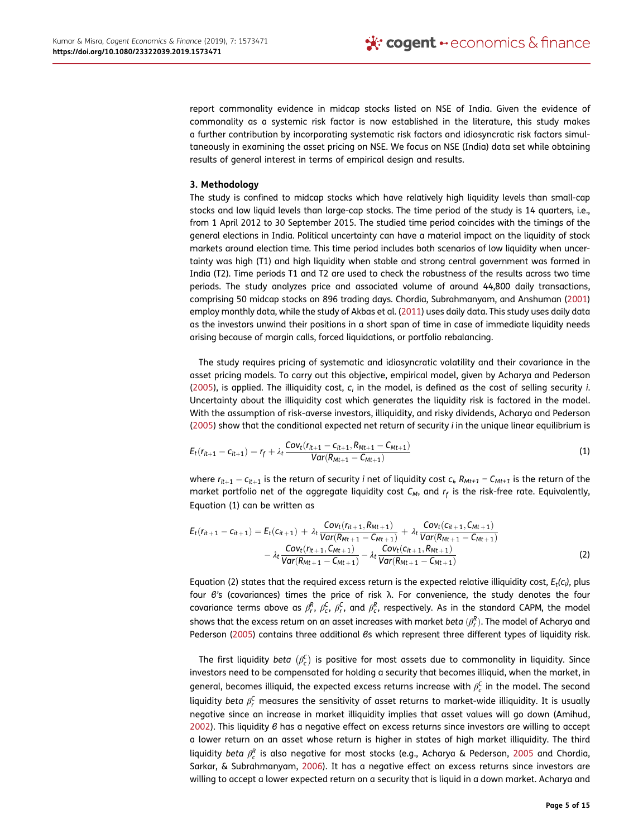report commonality evidence in midcap stocks listed on NSE of India. Given the evidence of commonality as a systemic risk factor is now established in the literature, this study makes a further contribution by incorporating systematic risk factors and idiosyncratic risk factors simultaneously in examining the asset pricing on NSE. We focus on NSE (India) data set while obtaining results of general interest in terms of empirical design and results.

### 3. Methodology

The study is confined to midcap stocks which have relatively high liquidity levels than small-cap stocks and low liquid levels than large-cap stocks. The time period of the study is 14 quarters, i.e., from 1 April 2012 to 30 September 2015. The studied time period coincides with the timings of the general elections in India. Political uncertainty can have a material impact on the liquidity of stock markets around election time. This time period includes both scenarios of low liquidity when uncertainty was high (T1) and high liquidity when stable and strong central government was formed in India (T2). Time periods T1 and T2 are used to check the robustness of the results across two time periods. The study analyzes price and associated volume of around 44,800 daily transactions, comprising 50 midcap stocks on 896 trading days. Chordia, Subrahmanyam, and Anshuman (2001) employ monthly data, while the study of Akbas et al. (2011) uses daily data. This study uses daily data as the investors unwind their positions in a short span of time in case of immediate liquidity needs arising because of margin calls, forced liquidations, or portfolio rebalancing.

The study requires pricing of systematic and idiosyncratic volatility and their covariance in the asset pricing models. To carry out this objective, empirical model, given by Acharya and Pederson (2005), is applied. The illiquidity cost,  $c_i$  in the model, is defined as the cost of selling security *i*. Uncertainty about the illiquidity cost which generates the liquidity risk is factored in the model. With the assumption of risk-averse investors, illiquidity, and risky dividends, Acharya and Pederson (2005) show that the conditional expected net return of security i in the unique linear equilibrium is

$$
E_t(r_{it+1} - c_{it+1}) = r_f + \lambda_t \frac{Cov_t(r_{it+1} - c_{it+1}, R_{Mt+1} - C_{Mt+1})}{Var(R_{Mt+1} - C_{Mt+1})}
$$
\n(1)

where  $r_{it+1} - c_{it+1}$  is the return of security i net of liquidity cost  $c_i$   $R_{Mt+1} - C_{Mt+1}$  is the return of the market portfolio net of the aggregate liquidity cost  $\mathcal{C}_M$ , and  $r_f$  is the risk-free rate. Equivalently, Equation (1) can be written as

$$
E_{t}(r_{it+1} - c_{it+1}) = E_{t}(c_{it+1}) + \lambda_{t} \frac{Cov_{t}(r_{it+1}, R_{Mt+1})}{Var(R_{Mt+1} - C_{Mt+1})} + \lambda_{t} \frac{Cov_{t}(c_{it+1}, C_{Mt+1})}{Var(R_{Mt+1} - C_{Mt+1})}
$$

$$
- \lambda_{t} \frac{Cov_{t}(r_{it+1}, C_{Mt+1})}{Var(R_{Mt+1} - C_{Mt+1})} - \lambda_{t} \frac{Cov_{t}(c_{it+1}, R_{Mt+1})}{Var(R_{Mt+1} - C_{Mt+1})}
$$
(2)

Equation (2) states that the required excess return is the expected relative illiquidity cost,  $E_t(c_i)$ , plus four β's (covariances) times the price of risk λ. For convenience, the study denotes the four covariance terms above as  $\beta_r^R$ ,  $\beta_c^C$ ,  $\beta_r^C$ , and  $\beta_c^R$ , respectively. As in the standard CAPM, the model shows that the excess return on an asset increases with market  $b$ eta  $(\beta_r^{\mathsf{R}}).$  The model of Acharya and Pederson (2005) contains three additional βs which represent three different types of liquidity risk.

The first liquidity *beta*  $(\beta_c^{\sf{C}})$  is positive for most assets due to commonality in liquidity. Since investors need to be compensated for holding a security that becomes illiquid, when the market, in general, becomes illiquid, the expected excess returns increase with  $\beta_{\mathsf{c}}^{\mathsf{C}}$  in the model. The second liquidity beta  $\beta_r^{\sf C}$  measures the sensitivity of asset returns to market-wide illiquidity. It is usually negative since an increase in market illiquidity implies that asset values will go down (Amihud, 2002). This liquidity β has a negative effect on excess returns since investors are willing to accept a lower return on an asset whose return is higher in states of high market illiquidity. The third liquidity *beta*  $\beta_{\rm c}^{\rm R}$  is also negative for most stocks (e.g., Acharya & Pederson, 2005 and Chordia, Sarkar, & Subrahmanyam, 2006). It has a negative effect on excess returns since investors are willing to accept a lower expected return on a security that is liquid in a down market. Acharya and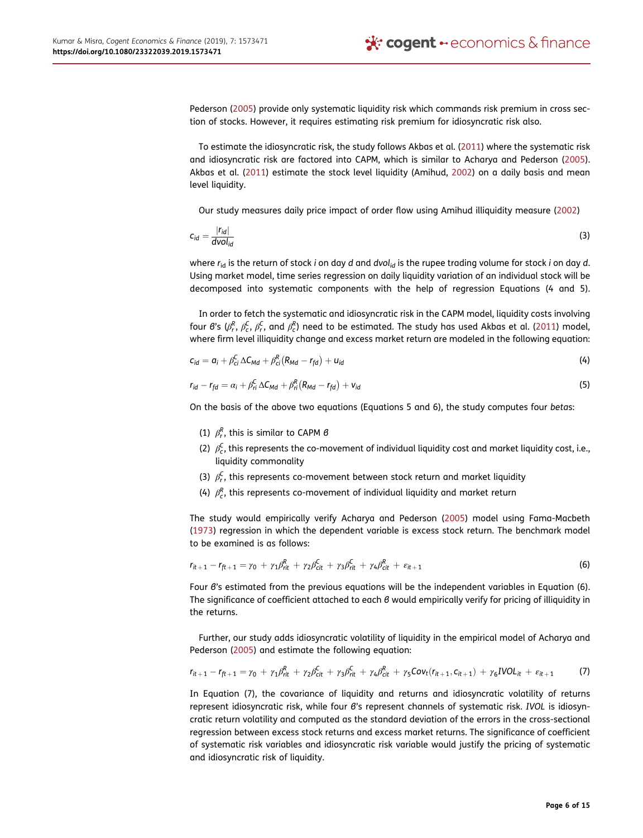Pederson (2005) provide only systematic liquidity risk which commands risk premium in cross section of stocks. However, it requires estimating risk premium for idiosyncratic risk also.

To estimate the idiosyncratic risk, the study follows Akbas et al. (2011) where the systematic risk and idiosyncratic risk are factored into CAPM, which is similar to Acharya and Pederson (2005). Akbas et al. (2011) estimate the stock level liquidity (Amihud, 2002) on a daily basis and mean level liquidity.

Our study measures daily price impact of order flow using Amihud illiquidity measure (2002)

$$
c_{id} = \frac{|r_{id}|}{d\text{vol}_{id}}\tag{3}
$$

where  $r_{id}$  is the return of stock i on day d and dvol<sub>id</sub> is the rupee trading volume for stock i on day d. Using market model, time series regression on daily liquidity variation of an individual stock will be decomposed into systematic components with the help of regression Equations (4 and 5).

In order to fetch the systematic and idiosyncratic risk in the CAPM model, liquidity costs involving four  $\theta$ 's ( $\beta_r^R$ ,  $\beta_c^C$ ,  $\beta_r^C$ , and  $\beta_c^R$ ) need to be estimated. The study has used Akbas et al. (2011) model, where firm level illiquidity change and excess market return are modeled in the following equation:

$$
c_{id} = a_i + \beta_{ci}^C \Delta C_{Md} + \beta_{ci}^R (R_{Md} - r_{fd}) + u_{id}
$$
\n(4)

$$
r_{id} - r_{fd} = \alpha_i + \beta_{ri}^C \Delta C_{Md} + \beta_{ri}^R (R_{Md} - r_{fd}) + v_{id}
$$
\n
$$
(5)
$$

On the basis of the above two equations (Equations 5 and 6), the study computes four betas:

- (1)  $\beta_r^R$ , this is similar to CAPM  $\beta$
- (2)  $\beta_c^C$ , this represents the co-movement of individual liquidity cost and market liquidity cost, i.e., liquidity commonality
- (3)  $\beta_r^C$ , this represents co-movement between stock return and market liquidity
- (4)  $\beta_c^R$ , this represents co-movement of individual liquidity and market return

The study would empirically verify Acharya and Pederson (2005) model using Fama-Macbeth (1973) regression in which the dependent variable is excess stock return. The benchmark model to be examined is as follows:

$$
r_{it+1} - r_{ft+1} = \gamma_0 + \gamma_1 \beta_{rit}^R + \gamma_2 \beta_{cit}^C + \gamma_3 \beta_{rit}^C + \gamma_4 \beta_{cit}^R + \varepsilon_{it+1}
$$
 (6)

Four β's estimated from the previous equations will be the independent variables in Equation (6). The significance of coefficient attached to each β would empirically verify for pricing of illiquidity in the returns.

Further, our study adds idiosyncratic volatility of liquidity in the empirical model of Acharya and Pederson (2005) and estimate the following equation:

$$
r_{it+1} - r_{ft+1} = \gamma_0 + \gamma_1 \beta_{rit}^R + \gamma_2 \beta_{cit}^C + \gamma_3 \beta_{rit}^C + \gamma_4 \beta_{cit}^R + \gamma_5 \text{Cov}_t(r_{it+1}, c_{it+1}) + \gamma_6 \text{IVOL}_{it} + \varepsilon_{it+1}
$$
 (7)

In Equation (7), the covariance of liquidity and returns and idiosyncratic volatility of returns represent idiosyncratic risk, while four β's represent channels of systematic risk. IVOL is idiosyncratic return volatility and computed as the standard deviation of the errors in the cross-sectional regression between excess stock returns and excess market returns. The significance of coefficient of systematic risk variables and idiosyncratic risk variable would justify the pricing of systematic and idiosyncratic risk of liquidity.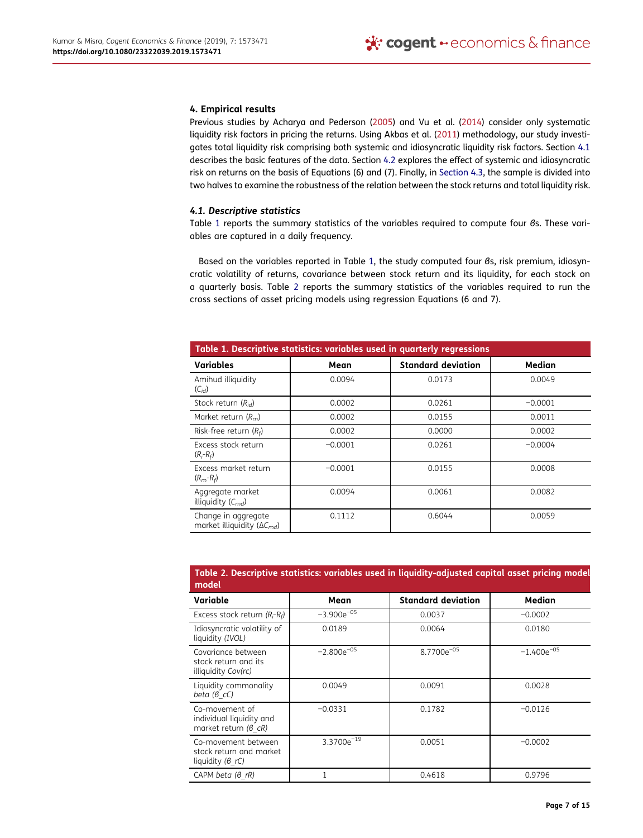#### 4. Empirical results

Previous studies by Acharya and Pederson (2005) and Vu et al. (2014) consider only systematic liquidity risk factors in pricing the returns. Using Akbas et al. (2011) methodology, our study investigates total liquidity risk comprising both systemic and idiosyncratic liquidity risk factors. Section 4.1 describes the basic features of the data. Section 4.2 explores the effect of systemic and idiosyncratic risk on returns on the basis of Equations (6) and (7). Finally, in Section 4.3, the sample is divided into two halves to examine the robustness of the relation between the stock returns and total liquidity risk.

#### 4.1. Descriptive statistics

Table 1 reports the summary statistics of the variables required to compute four βs. These variables are captured in a daily frequency.

Based on the variables reported in Table 1, the study computed four βs, risk premium, idiosyncratic volatility of returns, covariance between stock return and its liquidity, for each stock on a quarterly basis. Table 2 reports the summary statistics of the variables required to run the cross sections of asset pricing models using regression Equations (6 and 7).

| Table 1. Descriptive statistics: variables used in quarterly regressions |           |                           |           |  |  |
|--------------------------------------------------------------------------|-----------|---------------------------|-----------|--|--|
| Variables                                                                | Mean      | <b>Standard deviation</b> | Median    |  |  |
| Amihud illiquidity<br>$(C_{id})$                                         | 0.0094    | 0.0173                    | 0.0049    |  |  |
| Stock return $(R_{id})$                                                  | 0.0002    | 0.0261                    | $-0.0001$ |  |  |
| Market return $(R_m)$                                                    | 0.0002    | 0.0155                    | 0.0011    |  |  |
| Risk-free return $(R_f)$                                                 | 0.0002    | 0.0000                    | 0.0002    |  |  |
| Excess stock return<br>$(R_i - R_f)$                                     | $-0.0001$ | 0.0261                    | $-0.0004$ |  |  |
| Excess market return<br>$(R_m-R_f)$                                      | $-0.0001$ | 0.0155                    | 0.0008    |  |  |
| Aggregate market<br>illiquidity $(C_{md})$                               | 0.0094    | 0.0061                    | 0.0082    |  |  |
| Change in aggregate<br>market illiquidity ( $\Delta C_{\text{md}}$ )     | 0.1112    | 0.6044                    | 0.0059    |  |  |

| Table 2. Descriptive statistics: variables used in liquidity-adjusted capital asset pricing model<br>model |                 |                           |                 |  |
|------------------------------------------------------------------------------------------------------------|-----------------|---------------------------|-----------------|--|
| Variable                                                                                                   | Mean            | <b>Standard deviation</b> | Median          |  |
| Excess stock return $(R_i-R_f)$                                                                            | $-3.900e^{-05}$ | 0.0037                    | $-0.0002$       |  |
| Idiosyncratic volatility of<br>liquidity (IVOL)                                                            | 0.0189          | 0.0064                    | 0.0180          |  |
| Covariance between<br>stock return and its<br>illiquidity Cov(rc)                                          | $-2.800e^{-05}$ | $8.7700e^{-05}$           | $-1.400e^{-05}$ |  |
| Liquidity commonality<br>beta $(6 \text{ } cC)$                                                            | 0.0049          | 0.0091                    | 0.0028          |  |
| Co-movement of<br>individual liquidity and<br>market return $(6 \text{ } cR)$                              | $-0.0331$       | 0.1782                    | $-0.0126$       |  |
| Co-movement between<br>stock return and market<br>liquidity $(6 rC)$                                       | $3.3700e^{-19}$ | 0.0051                    | $-0.0002$       |  |
| CAPM beta (6 rR)                                                                                           | $\mathbf{1}$    | 0.4618                    | 0.9796          |  |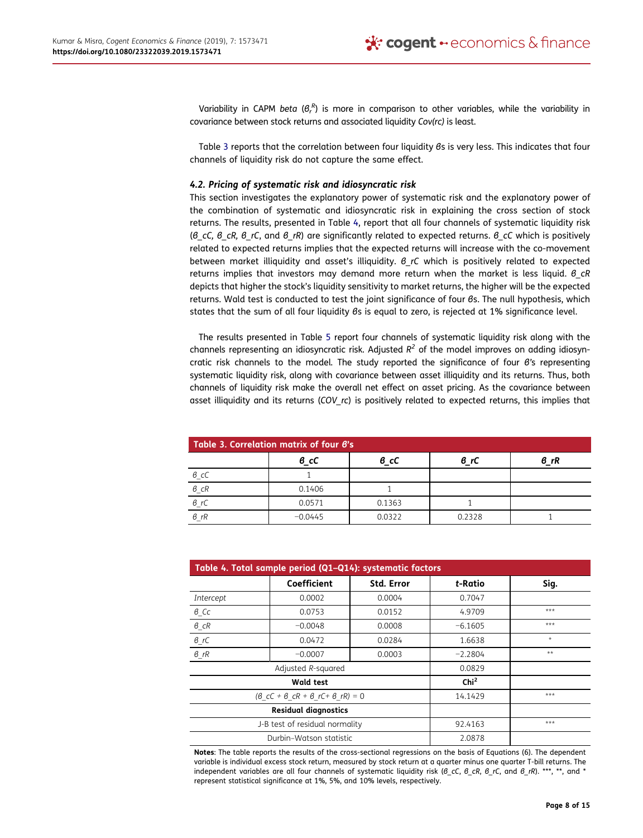Variability in CAPM beta ( $\theta_r^R$ ) is more in comparison to other variables, while the variability in covariance between stock returns and associated liquidity Cov(rc) is least.

Table 3 reports that the correlation between four liquidity βs is very less. This indicates that four channels of liquidity risk do not capture the same effect.

### 4.2. Pricing of systematic risk and idiosyncratic risk

This section investigates the explanatory power of systematic risk and the explanatory power of the combination of systematic and idiosyncratic risk in explaining the cross section of stock returns. The results, presented in Table 4, report that all four channels of systematic liquidity risk (β cC, β cR, β rC, and β rR) are significantly related to expected returns. β cC which is positively related to expected returns implies that the expected returns will increase with the co-movement between market illiquidity and asset's illiquidity. β rC which is positively related to expected returns implies that investors may demand more return when the market is less liquid.  $6 \text{ cR}$ depicts that higher the stock's liquidity sensitivity to market returns, the higher will be the expected returns. Wald test is conducted to test the joint significance of four βs. The null hypothesis, which states that the sum of all four liquidity βs is equal to zero, is rejected at 1% significance level.

The results presented in Table 5 report four channels of systematic liquidity risk along with the channels representing an idiosyncratic risk. Adjusted  $R^2$  of the model improves on adding idiosyncratic risk channels to the model. The study reported the significance of four β's representing systematic liquidity risk, along with covariance between asset illiquidity and its returns. Thus, both channels of liquidity risk make the overall net effect on asset pricing. As the covariance between asset illiquidity and its returns (COV rc) is positively related to expected returns, this implies that

| Table 3. Correlation matrix of four B's |           |        |        |      |
|-----------------------------------------|-----------|--------|--------|------|
|                                         | в cC      | в cC   | 6 rC   | 6 rR |
|                                         |           |        |        |      |
| $\frac{\theta_{c}cC}{\theta_{c}cR}$     | 0.1406    |        |        |      |
| $rac{\theta_r C}{\theta_{rR}}$          | 0.0571    | 0.1363 |        |      |
|                                         | $-0.0445$ | 0.0322 | 0.2328 |      |

| Table 4. Total sample period (Q1-Q14): systematic factors |                                                                       |                   |                  |         |
|-----------------------------------------------------------|-----------------------------------------------------------------------|-------------------|------------------|---------|
|                                                           | Coefficient                                                           | <b>Std. Error</b> | t-Ratio          | Sig.    |
| Intercept                                                 | 0.0002                                                                | 0.0004            | 0.7047           |         |
| $6$ <sub>C</sub> $c$                                      | 0.0753                                                                | 0.0152            | 4.9709           | $***$   |
| $\theta$ <sub>_C</sub> R                                  | $-0.0048$                                                             | 0.0008            | $-6.1605$        | $***$   |
| $\theta\_rC$                                              | 0.0472                                                                | 0.0284            | 1.6638           | $\star$ |
| $\theta_{\perp}$ rR                                       | $-0.0007$                                                             | 0.0003            | $-2.2804$        | $**$    |
| Adjusted R-squared                                        |                                                                       |                   | 0.0829           |         |
| Wald test                                                 |                                                                       |                   | Chi <sup>2</sup> |         |
|                                                           | $(6 \text{ } cC + 6 \text{ } cR + 6 \text{ } rC + 6 \text{ } rR) = 0$ |                   | 14.1429          | $***$   |
| <b>Residual diagnostics</b>                               |                                                                       |                   |                  |         |
| J-B test of residual normality                            |                                                                       | 92.4163           | $***$            |         |
|                                                           | Durbin-Watson statistic                                               |                   | 2.0878           |         |

Notes: The table reports the results of the cross-sectional regressions on the basis of Equations (6). The dependent variable is individual excess stock return, measured by stock return at a quarter minus one quarter T-bill returns. The independent variables are all four channels of systematic liquidity risk ( $\beta$  cC,  $\beta$  cR,  $\beta$  rC, and  $\beta$  rR). \*\*\*, \*\*, and \* represent statistical significance at 1%, 5%, and 10% levels, respectively.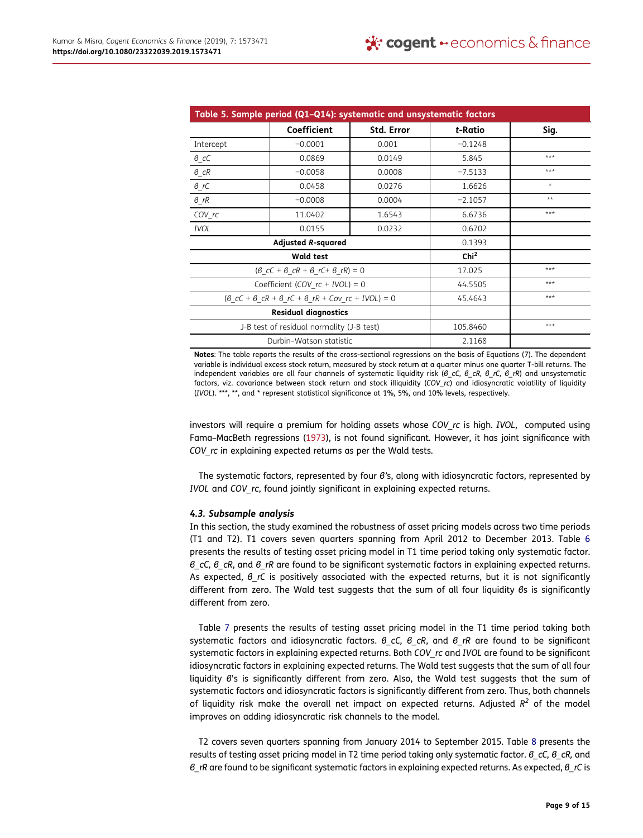| Table 5. Sample period (Q1-Q14): systematic and unsystematic factors                           |                                                                       |                   |                  |         |
|------------------------------------------------------------------------------------------------|-----------------------------------------------------------------------|-------------------|------------------|---------|
|                                                                                                | <b>Coefficient</b>                                                    | <b>Std. Error</b> | t-Ratio          | Sig.    |
| Intercept                                                                                      | $-0.0001$                                                             | 0.001             | $-0.1248$        |         |
| $\beta$ <sub>_C</sub> C                                                                        | 0.0869                                                                | 0.0149            | 5.845            | ***     |
| $6$ <sub>_C</sub> R                                                                            | $-0.0058$                                                             | 0.0008            | $-7.5133$        | ***     |
| $\theta\_rC$                                                                                   | 0.0458                                                                | 0.0276            | 1.6626           | $\star$ |
| $\theta_{\perp}$ rR                                                                            | $-0.0008$                                                             | 0.0004            | $-2.1057$        | $**$    |
| COV rc                                                                                         | 11.0402                                                               | 1.6543            | 6.6736           | ***     |
| <b>IVOL</b>                                                                                    | 0.0155                                                                | 0.0232            | 0.6702           |         |
|                                                                                                | <b>Adjusted R-squared</b>                                             |                   | 0.1393           |         |
|                                                                                                | <b>Wald test</b>                                                      |                   | Chi <sup>2</sup> |         |
|                                                                                                | $(6 \text{ } cC + 6 \text{ } cR + 6 \text{ } rC + 6 \text{ } rR) = 0$ |                   | 17.025           | ***     |
|                                                                                                | Coefficient (COV $rc + IVOL$ ) = 0                                    |                   | 44.5505          | $***$   |
| $(6 \text{ } cC + 6 \text{ } cR + 6 \text{ } rC + 6 \text{ } rR + Cov \text{ } rc + IVOL) = 0$ |                                                                       |                   | 45.4643          | $***$   |
| <b>Residual diagnostics</b>                                                                    |                                                                       |                   |                  |         |
| J-B test of residual normality (J-B test)                                                      |                                                                       | 105.8460          | ***              |         |
|                                                                                                | Durbin-Watson statistic                                               |                   | 2.1168           |         |

Notes: The table reports the results of the cross-sectional regressions on the basis of Equations (7). The dependent variable is individual excess stock return, measured by stock return at a quarter minus one quarter T-bill returns. The independent variables are all four channels of systematic liquidity risk (β\_cC, β\_cR, β\_rC, β\_rR) and unsystematic factors, viz. covariance between stock return and stock illiquidity (COV rc) and idiosyncratic volatility of liquidity (IVOL). \*\*\*, \*\*, and \* represent statistical significance at 1%, 5%, and 10% levels, respectively.

investors will require a premium for holding assets whose COV rc is high. IVOL, computed using Fama–MacBeth regressions (1973), is not found significant. However, it has joint significance with COV rc in explaining expected returns as per the Wald tests.

The systematic factors, represented by four β's, along with idiosyncratic factors, represented by IVOL and COV rc, found jointly significant in explaining expected returns.

## 4.3. Subsample analysis

In this section, the study examined the robustness of asset pricing models across two time periods (T1 and T2). T1 covers seven quarters spanning from April 2012 to December 2013. Table 6 presents the results of testing asset pricing model in T1 time period taking only systematic factor. β cC, β cR, and β rR are found to be significant systematic factors in explaining expected returns. As expected,  $\theta$  rC is positively associated with the expected returns, but it is not significantly different from zero. The Wald test suggests that the sum of all four liquidity βs is significantly different from zero.

Table 7 presents the results of testing asset pricing model in the T1 time period taking both systematic factors and idiosyncratic factors.  $\beta$  cC,  $\beta$  cR, and  $\beta$  rR are found to be significant systematic factors in explaining expected returns. Both COV rc and IVOL are found to be significant idiosyncratic factors in explaining expected returns. The Wald test suggests that the sum of all four liquidity β's is significantly different from zero. Also, the Wald test suggests that the sum of systematic factors and idiosyncratic factors is significantly different from zero. Thus, both channels of liquidity risk make the overall net impact on expected returns. Adjusted  $R^2$  of the model improves on adding idiosyncratic risk channels to the model.

T2 covers seven quarters spanning from January 2014 to September 2015. Table 8 presents the results of testing asset pricing model in T2 time period taking only systematic factor. β\_cC, β\_cR, and  $B_R$  are found to be significant systematic factors in explaining expected returns. As expected,  $B_R$  rC is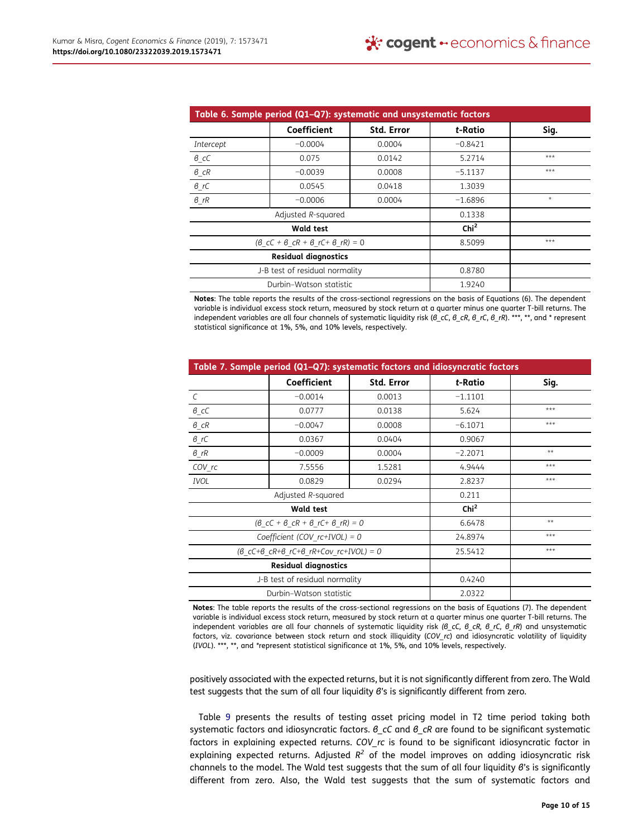| Table 6. Sample period (Q1-Q7): systematic and unsystematic factors   |                         |            |                  |         |
|-----------------------------------------------------------------------|-------------------------|------------|------------------|---------|
|                                                                       | Coefficient             | Std. Error | t-Ratio          | Sig.    |
| Intercept                                                             | $-0.0004$               | 0.0004     | $-0.8421$        |         |
| $\beta$ <sub>_</sub> cC                                               | 0.075                   | 0.0142     | 5.2714           | $***$   |
| $\beta$ <sub>_C</sub> R                                               | $-0.0039$               | 0.0008     | $-5.1137$        | $***$   |
| $\theta\_rC$                                                          | 0.0545                  | 0.0418     | 1.3039           |         |
| $6$ rR                                                                | $-0.0006$               | 0.0004     | $-1.6896$        | $\star$ |
| Adjusted R-squared                                                    |                         |            | 0.1338           |         |
| Wald test                                                             |                         |            | Chi <sup>2</sup> |         |
| $(6 \text{ } cC + 6 \text{ } cR + 6 \text{ } rC + 6 \text{ } rR) = 0$ |                         |            | 8.5099           | ***     |
| <b>Residual diagnostics</b>                                           |                         |            |                  |         |
| J-B test of residual normality                                        |                         | 0.8780     |                  |         |
|                                                                       | Durbin-Watson statistic |            | 1.9240           |         |

Notes: The table reports the results of the cross-sectional regressions on the basis of Equations (6). The dependent variable is individual excess stock return, measured by stock return at a quarter minus one quarter T-bill returns. The independent variables are all four channels of systematic liquidity risk (β\_cC, β\_cR, β\_rC, β\_rR). \*\*\*, \*\*, and \* represent statistical significance at 1%, 5%, and 10% levels, respectively.

| Table 7. Sample period (Q1-Q7): systematic factors and idiosyncratic factors         |                                                                       |                  |           |       |
|--------------------------------------------------------------------------------------|-----------------------------------------------------------------------|------------------|-----------|-------|
|                                                                                      | Coefficient                                                           | Std. Error       | t-Ratio   | Sig.  |
| $\mathcal{C}$                                                                        | $-0.0014$                                                             | 0.0013           | $-1.1101$ |       |
| $\theta_{\_}cC$                                                                      | 0.0777                                                                | 0.0138           | 5.624     | $***$ |
| $\theta_{\_}CR$                                                                      | $-0.0047$                                                             | 0.0008           | $-6.1071$ | $***$ |
| $\theta_{\_}rC$                                                                      | 0.0367                                                                | 0.0404           | 0.9067    |       |
| $\theta_{\_}$ rR                                                                     | $-0.0009$                                                             | 0.0004           | $-2.2071$ | $**$  |
| COV rc                                                                               | 7.5556                                                                | 1.5281           | 4.9444    | ***   |
| <b>IVOL</b>                                                                          | 0.0829                                                                | 0.0294           | 2.8237    | $***$ |
|                                                                                      | Adjusted R-squared                                                    |                  | 0.211     |       |
| Wald test                                                                            |                                                                       | Chi <sup>2</sup> |           |       |
|                                                                                      | $(6 \text{ } cC + 6 \text{ } cR + 6 \text{ } rC + 6 \text{ } rR) = 0$ |                  | 6.6478    | $**$  |
|                                                                                      | Coefficient (COV $rc+IVOL$ ) = 0                                      |                  | 24.8974   | ***   |
| $(8 \text{ } cC+6 \text{ } cR+8 \text{ } rC+8 \text{ } rR+Cov \text{ } rc+IVOL) = 0$ |                                                                       | 25.5412          | $***$     |       |
| <b>Residual diagnostics</b>                                                          |                                                                       |                  |           |       |
| J-B test of residual normality                                                       |                                                                       | 0.4240           |           |       |
|                                                                                      | Durbin-Watson statistic                                               |                  | 2.0322    |       |

Notes: The table reports the results of the cross-sectional regressions on the basis of Equations (7). The dependent variable is individual excess stock return, measured by stock return at a quarter minus one quarter T-bill returns. The independent variables are all four channels of systematic liquidity risk (β cC, β cR, β rC, β rR) and unsystematic factors, viz. covariance between stock return and stock illiquidity (COV\_rc) and idiosyncratic volatility of liquidity (IVOL). \*\*\*, \*\*, and \*represent statistical significance at 1%, 5%, and 10% levels, respectively.

positively associated with the expected returns, but it is not significantly different from zero. The Wald test suggests that the sum of all four liquidity β's is significantly different from zero.

Table 9 presents the results of testing asset pricing model in T2 time period taking both systematic factors and idiosyncratic factors. β\_cC and β\_cR are found to be significant systematic factors in explaining expected returns. COV rc is found to be significant idiosyncratic factor in explaining expected returns. Adjusted  $R^2$  of the model improves on adding idiosyncratic risk channels to the model. The Wald test suggests that the sum of all four liquidity β's is significantly different from zero. Also, the Wald test suggests that the sum of systematic factors and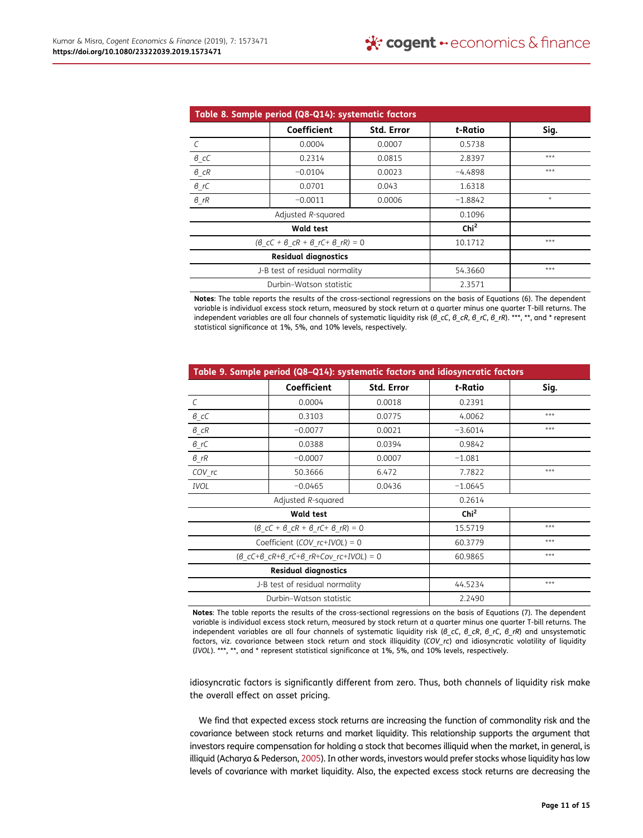| Table 8. Sample period (Q8-Q14): systematic factors |                                                                       |                   |                  |         |
|-----------------------------------------------------|-----------------------------------------------------------------------|-------------------|------------------|---------|
|                                                     | Coefficient                                                           | <b>Std. Error</b> | t-Ratio          | Sig.    |
| $\mathcal{C}$                                       | 0.0004                                                                | 0.0007            | 0.5738           |         |
| $\theta_{\_}C$                                      | 0.2314                                                                | 0.0815            | 2.8397           | $***$   |
| $\theta\_{CR}$                                      | $-0.0104$                                                             | 0.0023            | $-4.4898$        | ***     |
| $\theta$ _rC                                        | 0.0701                                                                | 0.043             | 1.6318           |         |
| $6$ rR                                              | $-0.0011$                                                             | 0.0006            | $-1.8842$        | $\star$ |
| Adjusted R-squared                                  |                                                                       |                   | 0.1096           |         |
| <b>Wald test</b>                                    |                                                                       |                   | Chi <sup>2</sup> |         |
|                                                     | $(6 \text{ } cC + 6 \text{ } cR + 6 \text{ } rC + 6 \text{ } rR) = 0$ |                   | 10.1712          | ***     |
| <b>Residual diagnostics</b>                         |                                                                       |                   |                  |         |
| J-B test of residual normality                      |                                                                       | 54.3660           | ***              |         |
|                                                     | Durbin-Watson statistic                                               |                   | 2.3571           |         |

Notes: The table reports the results of the cross-sectional regressions on the basis of Equations (6). The dependent variable is individual excess stock return, measured by stock return at a quarter minus one quarter T-bill returns. The independent variables are all four channels of systematic liquidity risk (β\_cC, β\_cR, β\_rC, β\_rR). \*\*\*, \*\*, and \* represent statistical significance at 1%, 5%, and 10% levels, respectively.

| Table 9. Sample period (Q8-Q14): systematic factors and idiosyncratic factors        |                                                              |                  |           |       |
|--------------------------------------------------------------------------------------|--------------------------------------------------------------|------------------|-----------|-------|
|                                                                                      | Coefficient                                                  | Std. Error       | t-Ratio   | Sig.  |
| $\mathcal{C}$                                                                        | 0.0004                                                       | 0.0018           | 0.2391    |       |
| $\theta_{\_}cC$                                                                      | 0.3103                                                       | 0.0775           | 4.0062    | ***   |
| $6$ <sub>_CR</sub>                                                                   | $-0.0077$                                                    | 0.0021           | $-3.6014$ | $***$ |
| 6rC                                                                                  | 0.0388                                                       | 0.0394           | 0.9842    |       |
| $\theta_{\perp}$ rR                                                                  | $-0.0007$                                                    | 0.0007           | $-1.081$  |       |
| COV rc                                                                               | 50.3666                                                      | 6.472            | 7.7822    | $***$ |
| <b>IVOL</b>                                                                          | $-0.0465$                                                    | 0.0436           | $-1.0645$ |       |
|                                                                                      | Adjusted R-squared                                           |                  | 0.2614    |       |
| Wald test                                                                            |                                                              | Chi <sup>2</sup> |           |       |
|                                                                                      | $(\theta_{C}C + \theta_{C}R + \theta_{C}C + \theta_{R}) = 0$ |                  | 15.5719   | ***   |
|                                                                                      | Coefficient (COV $rc+IVOL$ ) = 0                             |                  | 60.3779   | ***   |
| $(6 \text{ } cC+6 \text{ } cR+6 \text{ } rC+6 \text{ } rR+Cov \text{ } rc+IVOL) = 0$ |                                                              | 60.9865          | $***$     |       |
| <b>Residual diagnostics</b>                                                          |                                                              |                  |           |       |
| J-B test of residual normality                                                       |                                                              | 44.5234          | $***$     |       |
|                                                                                      | Durbin-Watson statistic                                      |                  | 2.2490    |       |

Notes: The table reports the results of the cross-sectional regressions on the basis of Equations (7). The dependent variable is individual excess stock return, measured by stock return at a quarter minus one quarter T-bill returns. The independent variables are all four channels of systematic liquidity risk (β cC, β cR, β rC, β rR) and unsystematic factors, viz. covariance between stock return and stock illiquidity (COV\_rc) and idiosyncratic volatility of liquidity (IVOL). \*\*\*, \*\*, and \* represent statistical significance at 1%, 5%, and 10% levels, respectively.

idiosyncratic factors is significantly different from zero. Thus, both channels of liquidity risk make the overall effect on asset pricing.

We find that expected excess stock returns are increasing the function of commonality risk and the covariance between stock returns and market liquidity. This relationship supports the argument that investors require compensation for holding a stock that becomes illiquid when the market, in general, is illiquid (Acharya & Pederson, 2005). In other words, investors would prefer stocks whose liquidity has low levels of covariance with market liquidity. Also, the expected excess stock returns are decreasing the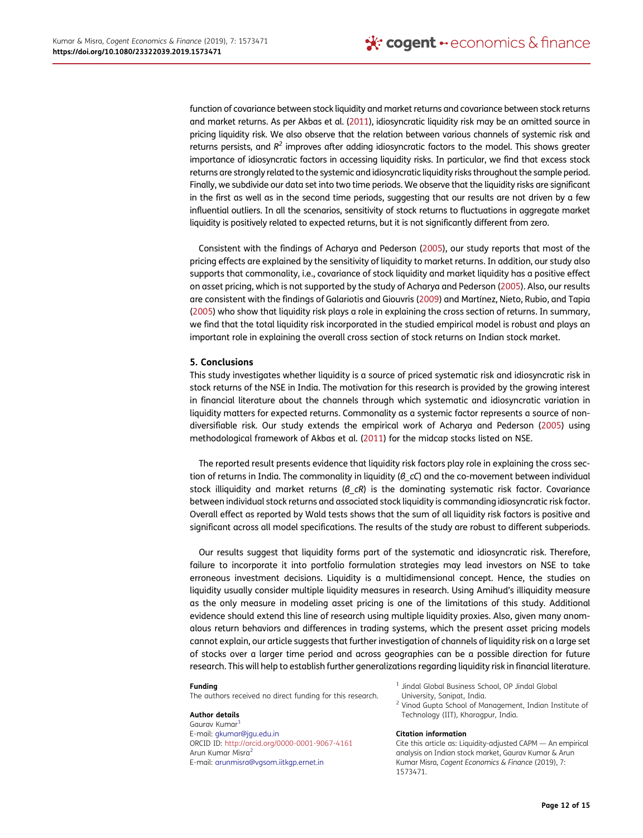function of covariance between stock liquidity and market returns and covariance between stock returns and market returns. As per Akbas et al. (2011), idiosyncratic liquidity risk may be an omitted source in pricing liquidity risk. We also observe that the relation between various channels of systemic risk and returns persists, and R<sup>2</sup> improves after adding idiosyncratic factors to the model. This shows greater importance of idiosyncratic factors in accessing liquidity risks. In particular, we find that excess stock returns are strongly related to the systemic and idiosyncratic liquidity risks throughout the sample period. Finally, we subdivide our data set into two time periods. We observe that the liquidity risks are significant in the first as well as in the second time periods, suggesting that our results are not driven by a few influential outliers. In all the scenarios, sensitivity of stock returns to fluctuations in aggregate market liquidity is positively related to expected returns, but it is not significantly different from zero.

Consistent with the findings of Acharya and Pederson (2005), our study reports that most of the pricing effects are explained by the sensitivity of liquidity to market returns. In addition, our study also supports that commonality, i.e., covariance of stock liquidity and market liquidity has a positive effect on asset pricing, which is not supported by the study of Acharya and Pederson (2005). Also, our results are consistent with the findings of Galariotis and Giouvris (2009) and Martínez, Nieto, Rubio, and Tapia (2005) who show that liquidity risk plays a role in explaining the cross section of returns. In summary, we find that the total liquidity risk incorporated in the studied empirical model is robust and plays an important role in explaining the overall cross section of stock returns on Indian stock market.

## 5. Conclusions

This study investigates whether liquidity is a source of priced systematic risk and idiosyncratic risk in stock returns of the NSE in India. The motivation for this research is provided by the growing interest in financial literature about the channels through which systematic and idiosyncratic variation in liquidity matters for expected returns. Commonality as a systemic factor represents a source of nondiversifiable risk. Our study extends the empirical work of Acharya and Pederson (2005) using methodological framework of Akbas et al. (2011) for the midcap stocks listed on NSE.

The reported result presents evidence that liquidity risk factors play role in explaining the cross section of returns in India. The commonality in liquidity  $(6 \text{ } cC)$  and the co-movement between individual stock illiquidity and market returns ( $\theta$  cR) is the dominating systematic risk factor. Covariance between individual stock returns and associated stock liquidity is commanding idiosyncratic risk factor. Overall effect as reported by Wald tests shows that the sum of all liquidity risk factors is positive and significant across all model specifications. The results of the study are robust to different subperiods.

Our results suggest that liquidity forms part of the systematic and idiosyncratic risk. Therefore, failure to incorporate it into portfolio formulation strategies may lead investors on NSE to take erroneous investment decisions. Liquidity is a multidimensional concept. Hence, the studies on liquidity usually consider multiple liquidity measures in research. Using Amihud's illiquidity measure as the only measure in modeling asset pricing is one of the limitations of this study. Additional evidence should extend this line of research using multiple liquidity proxies. Also, given many anomalous return behaviors and differences in trading systems, which the present asset pricing models cannot explain, our article suggests that further investigation of channels of liquidity risk on a large set of stocks over a larger time period and across geographies can be a possible direction for future research. This will help to establish further generalizations regarding liquidity risk in financial literature.

#### Funding

The authors received no direct funding for this research.

#### Author details

Gaurav Kumar<sup>1</sup> E-mail: gkumar@jgu.edu.in ORCID ID: http://orcid.org/0000-0001-9067-4161 Arun Kumar Misra<sup>2</sup> E-mail: arunmisra@vgsom.iitkgp.ernet.in

1 Jindal Global Business School, OP Jindal Global University, Sonipat, India.

<sup>2</sup> Vinod Gupta School of Management, Indian Institute of Technology (IIT), Kharagpur, India.

#### Citation information

Cite this article as: Liquidity-adjusted CAPM — An empirical analysis on Indian stock market, Gaurav Kumar & Arun Kumar Misra, Cogent Economics & Finance (2019), 7: 1573471.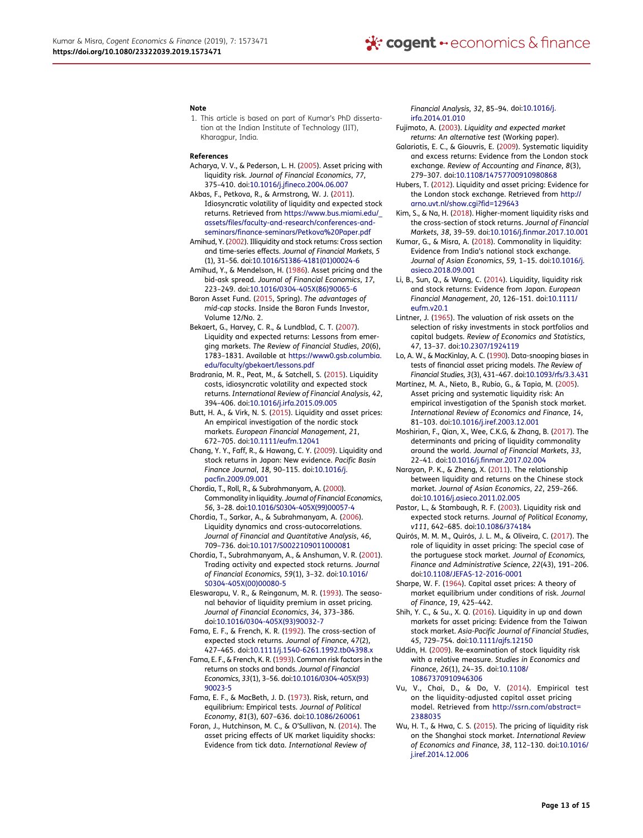#### Note

1. This article is based on part of Kumar's PhD dissertation at the Indian Institute of Technology (IIT), Kharaapur, India.

#### References

Acharya, V. V., & Pederson, L. H. (2005). Asset pricing with liquidity risk. Journal of Financial Economics, 77, 375–410. doi:10.1016/j.jfineco.2004.06.007

- Akbas, F., Petkova, R., & Armstrong, W. J. (2011). Idiosyncratic volatility of liquidity and expected stock returns. Retrieved from https://www.bus.miami.edu/\_ assets/files/faculty-and-research/conferences-andseminars/finance-seminars/Petkova%20Paper.pdf
- Amihud, Y. (2002). Illiquidity and stock returns: Cross section and time-series effects. Journal of Financial Markets, 5 (1), 31–56. doi:10.1016/S1386-4181(01)00024-6 Amihud, Y., & Mendelson, H. (1986). Asset pricing and the
	- bid-ask spread. Journal of Financial Economics, 17, 223–249. doi:10.1016/0304-405X(86)90065-6
- Baron Asset Fund. (2015, Spring). The advantages of mid-cap stocks. Inside the Baron Funds Investor, Volume 12/No. 2.
- Bekaert, G., Harvey, C. R., & Lundblad, C. T. (2007). Liquidity and expected returns: Lessons from emerging markets. The Review of Financial Studies, 20(6), 1783–1831. Available at https://www0.gsb.columbia. edu/faculty/gbekaert/lessons.pdf
- Bradrania, M. R., Peat, M., & Satchell, S. (2015). Liquidity costs, idiosyncratic volatility and expected stock returns. International Review of Financial Analysis, 42, 394–406. doi:10.1016/j.irfa.2015.09.005
- Butt, H. A., & Virk, N. S. (2015). Liquidity and asset prices: An empirical investigation of the nordic stock markets. European Financial Management, 21, 672–705. doi:10.1111/eufm.12041
- Chang, Y. Y., Faff, R., & Hawang, C. Y. (2009). Liquidity and stock returns in Japan: New evidence. Pacific Basin Finance Journal, 18, 90–115. doi:10.1016/j. pacfin.2009.09.001
- Chordia, T., Roll, R., & Subrahmanyam, A. (2000). Commonality in liquidity. Journal of Financial Economics, 56, 3–28. doi:10.1016/S0304-405X(99)00057-4
- Chordia, T., Sarkar, A., & Subrahmanyam, A. (2006). Liquidity dynamics and cross-autocorrelations. Journal of Financial and Quantitative Analysis, 46, 709–736. doi:10.1017/S0022109011000081
- Chordia, T., Subrahmanyam, A., & Anshuman, V. R. (2001). Trading activity and expected stock returns. Journal of Financial Economics, 59(1), 3–32. doi:10.1016/ S0304-405X(00)00080-5
- Eleswarapu, V. R., & Reinganum, M. R. (1993). The seasonal behavior of liquidity premium in asset pricing. Journal of Financial Economics, 34, 373–386. doi:10.1016/0304-405X(93)90032-7
- Fama, E. F., & French, K. R. (1992). The cross-section of expected stock returns. Journal of Finance, 47(2), 427–465. doi:10.1111/j.1540-6261.1992.tb04398.x
- Fama, E. F., & French, K. R. (1993). Common risk factors in the returns on stocks and bonds. Journal of Financial Economics, 33(1), 3–56. doi:10.1016/0304-405X(93) 90023-5
- Fama, E. F., & MacBeth, J. D. (1973). Risk, return, and equilibrium: Empirical tests. Journal of Political Economy, 81(3), 607–636. doi:10.1086/260061
- Foran, J., Hutchinson, M. C., & O'Sullivan, N. (2014). The asset pricing effects of UK market liquidity shocks: Evidence from tick data. International Review of

Financial Analysis, 32, 85–94. doi:10.1016/j. irfa.2014.01.010

- Fujimoto, A. (2003). Liquidity and expected market returns: An alternative test (Working paper).
- Galariotis, E. C., & Giouvris, E. (2009). Systematic liquidity and excess returns: Evidence from the London stock exchange. Review of Accounting and Finance, 8(3), 279–307. doi:10.1108/14757700910980868
- Hubers, T. (2012). Liquidity and asset pricing: Evidence for the London stock exchange. Retrieved from http:// arno.uvt.nl/show.cgi?fid=129643
- Kim, S., & Na, H. (2018). Higher-moment liquidity risks and the cross-section of stock returns. Journal of Financial Markets, 38, 39–59. doi:10.1016/j.finmar.2017.10.001
- Kumar, G., & Misra, A. (2018). Commonality in liquidity: Evidence from India's national stock exchange. Journal of Asian Economics, 59, 1–15. doi:10.1016/j. asieco.2018.09.001
- Li, B., Sun, Q., & Wang, C. (2014). Liquidity, liquidity risk and stock returns: Evidence from Japan. European Financial Management, 20, 126–151. doi:10.1111/ eufm.v20.1
- Lintner, J. (1965). The valuation of risk assets on the selection of risky investments in stock portfolios and capital budgets. Review of Economics and Statistics, 47, 13–37. doi:10.2307/1924119
- Lo, A. W., & MacKinlay, A. C. (1990). Data-snooping biases in tests of financial asset pricing models. The Review of Financial Studies, 3(3), 431–467. doi:10.1093/rfs/3.3.431
- Martínez, M. A., Nieto, B., Rubio, G., & Tapia, M. (2005). Asset pricing and systematic liquidity risk: An empirical investigation of the Spanish stock market. International Review of Economics and Finance, 14, 81–103. doi:10.1016/j.iref.2003.12.001
- Moshirian, F., Qian, X., Wee, C.K.G, & Zhang, B. (2017). The determinants and pricing of liquidity commonality around the world. Journal of Financial Markets, 33, 22–41. doi:10.1016/j.finmar.2017.02.004
- Narayan, P. K., & Zheng, X. (2011). The relationship between liquidity and returns on the Chinese stock market. Journal of Asian Economics, 22, 259–266. doi:10.1016/j.asieco.2011.02.005
- Pastor, L., & Stambaugh, R. F. (2003). Liquidity risk and expected stock returns. Journal of Political Economy, v111, 642–685. doi:10.1086/374184
- Quirós, M. M. M., Quirós, J. L. M., & Oliveira, C. (2017). The role of liquidity in asset pricing: The special case of the portuguese stock market. Journal of Economics, Finance and Administrative Science, 22(43), 191–206. doi:10.1108/JEFAS-12-2016-0001
- Sharpe, W. F. (1964). Capital asset prices: A theory of market equilibrium under conditions of risk. Journal of Finance, 19, 425–442.
- Shih, Y. C., & Su., X. Q. (2016). Liquidity in up and down markets for asset pricing: Evidence from the Taiwan stock market. Asia-Pacific Journal of Financial Studies, 45, 729–754. doi:10.1111/ajfs.12150
- Uddin, H. (2009). Re-examination of stock liquidity risk with a relative measure. Studies in Economics and Finance, 26(1), 24–35. doi:10.1108/ 10867370910946306
- Vu, V., Chai, D., & Do, V. (2014). Empirical test on the liquidity-adjusted capital asset pricing model. Retrieved from http://ssrn.com/abstract= 2388035
- Wu, H. T., & Hwa, C. S. (2015). The pricing of liquidity risk on the Shanghai stock market. International Review of Economics and Finance, 38, 112–130. doi:10.1016/ j.iref.2014.12.006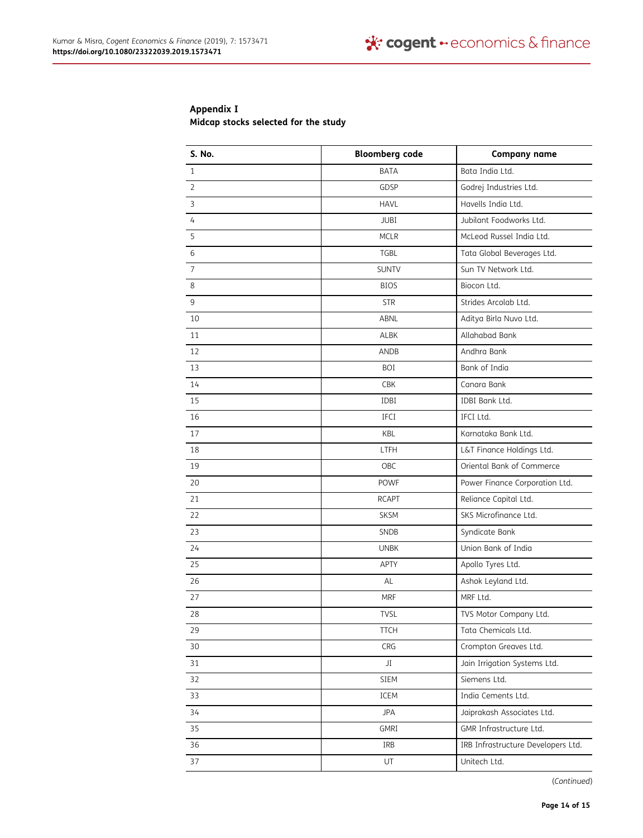## Appendix I

Midcap stocks selected for the study

| <b>S. No.</b>  | <b>Bloomberg code</b> | <b>Company name</b>                |
|----------------|-----------------------|------------------------------------|
| $\mathbf{1}$   | <b>BATA</b>           | Bata India Ltd.                    |
| $\overline{2}$ | GDSP                  | Godrej Industries Ltd.             |
| 3              | <b>HAVL</b>           | Havells India Ltd.                 |
| $\overline{4}$ | <b>JUBI</b>           | Jubilant Foodworks Ltd.            |
| 5              | <b>MCLR</b>           | McLeod Russel India Ltd.           |
| 6              | <b>TGBL</b>           | Tata Global Beverages Ltd.         |
| $\overline{7}$ | <b>SUNTV</b>          | Sun TV Network Ltd.                |
| 8              | <b>BIOS</b>           | Biocon Ltd.                        |
| 9              | <b>STR</b>            | Strides Arcolab Ltd.               |
| 10             | ABNL                  | Aditya Birla Nuvo Ltd.             |
| 11             | <b>ALBK</b>           | Allahabad Bank                     |
| 12             | <b>ANDB</b>           | Andhra Bank                        |
| 13             | BOI                   | Bank of India                      |
| 14             | <b>CBK</b>            | Canara Bank                        |
| 15             | IDBI                  | IDBI Bank Ltd.                     |
| 16             | IFCI                  | IFCI Ltd.                          |
| 17             | <b>KBL</b>            | Karnataka Bank Ltd.                |
| 18             | LTFH                  | L&T Finance Holdings Ltd.          |
| 19             | OBC                   | Oriental Bank of Commerce          |
| 20             | <b>POWF</b>           | Power Finance Corporation Ltd.     |
| 21             | <b>RCAPT</b>          | Reliance Capital Ltd.              |
| 22             | <b>SKSM</b>           | SKS Microfinance Ltd.              |
| 23             | <b>SNDB</b>           | Syndicate Bank                     |
| 24             | <b>UNBK</b>           | Union Bank of India                |
| 25             | <b>APTY</b>           | Apollo Tyres Ltd.                  |
| 26             | AL                    | Ashok Leyland Ltd.                 |
| 27             | <b>MRF</b>            | MRF Ltd.                           |
| 28             | <b>TVSL</b>           | TVS Motor Company Ltd.             |
| 29             | <b>TTCH</b>           | Tata Chemicals Ltd.                |
| 30             | CRG                   | Crompton Greaves Ltd.              |
| 31             | JI                    | Jain Irrigation Systems Ltd.       |
| 32             | SIEM                  | Siemens Ltd.                       |
| 33             | ICEM                  | India Cements Ltd.                 |
| 34             | <b>JPA</b>            | Jaiprakash Associates Ltd.         |
| 35             | GMRI                  | GMR Infrastructure Ltd.            |
| 36             | IRB                   | IRB Infrastructure Developers Ltd. |
| 37             | UT                    | Unitech Ltd.                       |

(Continued)